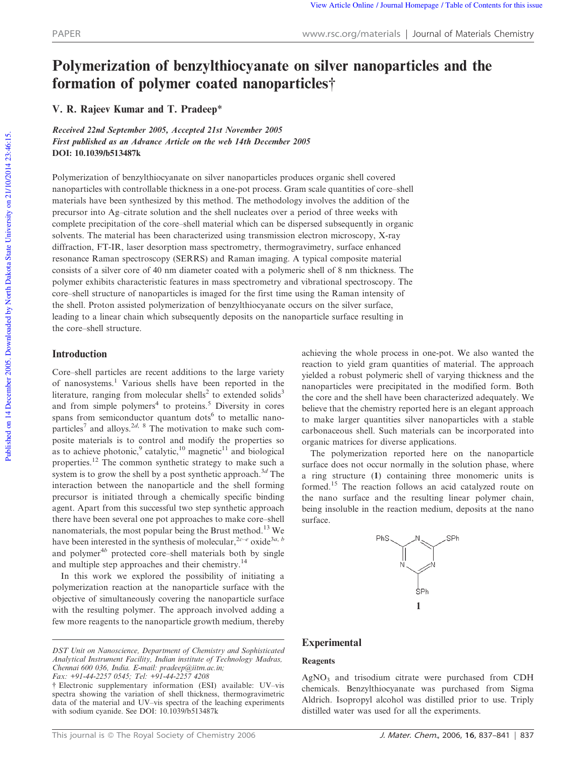# Polymerization of benzylthiocyanate on silver nanoparticles and the formation of polymer coated nanoparticles<sup>†</sup>

V. R. Rajeev Kumar and T. Pradeep\*

Received 22nd September 2005, Accepted 21st November 2005 First published as an Advance Article on the web 14th December 2005 DOI: 10.1039/b513487k

Polymerization of benzylthiocyanate on silver nanoparticles produces organic shell covered nanoparticles with controllable thickness in a one-pot process. Gram scale quantities of core–shell materials have been synthesized by this method. The methodology involves the addition of the precursor into Ag–citrate solution and the shell nucleates over a period of three weeks with complete precipitation of the core–shell material which can be dispersed subsequently in organic solvents. The material has been characterized using transmission electron microscopy, X-ray diffraction, FT-IR, laser desorption mass spectrometry, thermogravimetry, surface enhanced resonance Raman spectroscopy (SERRS) and Raman imaging. A typical composite material consists of a silver core of 40 nm diameter coated with a polymeric shell of 8 nm thickness. The polymer exhibits characteristic features in mass spectrometry and vibrational spectroscopy. The core–shell structure of nanoparticles is imaged for the first time using the Raman intensity of the shell. Proton assisted polymerization of benzylthiocyanate occurs on the silver surface, leading to a linear chain which subsequently deposits on the nanoparticle surface resulting in the core–shell structure.

# Introduction

Core–shell particles are recent additions to the large variety of nanosystems.<sup>1</sup> Various shells have been reported in the literature, ranging from molecular shells<sup>2</sup> to extended solids<sup>3</sup> and from simple polymers<sup>4</sup> to proteins.<sup>5</sup> Diversity in cores spans from semiconductor quantum dots<sup>6</sup> to metallic nanoparticles<sup>7</sup> and alloys.<sup>2d, 8</sup> The motivation to make such composite materials is to control and modify the properties so as to achieve photonic,<sup>9</sup> catalytic,<sup>10</sup> magnetic<sup>11</sup> and biological properties.<sup>12</sup> The common synthetic strategy to make such a system is to grow the shell by a post synthetic approach.<sup>3*d*</sup> The interaction between the nanoparticle and the shell forming precursor is initiated through a chemically specific binding agent. Apart from this successful two step synthetic approach there have been several one pot approaches to make core–shell nanomaterials, the most popular being the Brust method.<sup>13</sup> We have been interested in the synthesis of molecular,<sup>2*c*-*e*</sup> oxide<sup>3*a*, *b*</sup> and polymer<sup>4b</sup> protected core–shell materials both by single and multiple step approaches and their chemistry.<sup>14</sup>

In this work we explored the possibility of initiating a polymerization reaction at the nanoparticle surface with the objective of simultaneously covering the nanoparticle surface with the resulting polymer. The approach involved adding a few more reagents to the nanoparticle growth medium, thereby achieving the whole process in one-pot. We also wanted the reaction to yield gram quantities of material. The approach yielded a robust polymeric shell of varying thickness and the nanoparticles were precipitated in the modified form. Both the core and the shell have been characterized adequately. We believe that the chemistry reported here is an elegant approach to make larger quantities silver nanoparticles with a stable carbonaceous shell. Such materials can be incorporated into organic matrices for diverse applications.

The polymerization reported here on the nanoparticle surface does not occur normally in the solution phase, where a ring structure (1) containing three monomeric units is formed.<sup>15</sup> The reaction follows an acid catalyzed route on the nano surface and the resulting linear polymer chain, being insoluble in the reaction medium, deposits at the nano surface.



# Experimental

# Reagents

AgNO<sub>3</sub> and trisodium citrate were purchased from CDH chemicals. Benzylthiocyanate was purchased from Sigma Aldrich. Isopropyl alcohol was distilled prior to use. Triply distilled water was used for all the experiments.

*DST Unit on Nanoscience, Department of Chemistry and Sophisticated Analytical Instrument Facility, Indian institute of Technology Madras, Chennai 600 036, India. E-mail: pradeep@iitm.ac.in; Fax: +91-44-2257 0545; Tel: +91-44-2257 4208*

<sup>{</sup> Electronic supplementary information (ESI) available: UV–vis spectra showing the variation of shell thickness, thermogravimetric data of the material and UV–vis spectra of the leaching experiments with sodium cyanide. See DOI: 10.1039/b513487k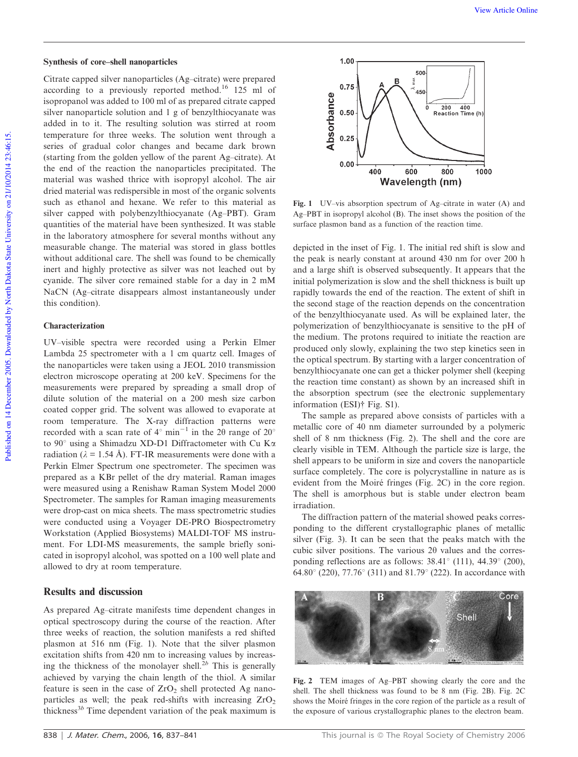#### Synthesis of core–shell nanoparticles

Citrate capped silver nanoparticles (Ag–citrate) were prepared according to a previously reported method.<sup>16</sup> 125 ml of isopropanol was added to 100 ml of as prepared citrate capped silver nanoparticle solution and 1 g of benzylthiocyanate was added in to it. The resulting solution was stirred at room temperature for three weeks. The solution went through a series of gradual color changes and became dark brown (starting from the golden yellow of the parent Ag–citrate). At the end of the reaction the nanoparticles precipitated. The material was washed thrice with isopropyl alcohol. The air dried material was redispersible in most of the organic solvents such as ethanol and hexane. We refer to this material as silver capped with polybenzylthiocyanate (Ag–PBT). Gram quantities of the material have been synthesized. It was stable in the laboratory atmosphere for several months without any measurable change. The material was stored in glass bottles without additional care. The shell was found to be chemically inert and highly protective as silver was not leached out by cyanide. The silver core remained stable for a day in 2 mM NaCN (Ag–citrate disappears almost instantaneously under this condition).

### Characterization

UV–visible spectra were recorded using a Perkin Elmer Lambda 25 spectrometer with a 1 cm quartz cell. Images of the nanoparticles were taken using a JEOL 2010 transmission electron microscope operating at 200 keV. Specimens for the measurements were prepared by spreading a small drop of dilute solution of the material on a 200 mesh size carbon coated copper grid. The solvent was allowed to evaporate at room temperature. The X-ray diffraction patterns were recorded with a scan rate of  $4^{\circ}$  min<sup>-1</sup> in the 2 $\theta$  range of 20° to 90 $^{\circ}$  using a Shimadzu XD-D1 Diffractometer with Cu K $\alpha$ radiation ( $\lambda = 1.54$  Å). FT-IR measurements were done with a Perkin Elmer Spectrum one spectrometer. The specimen was prepared as a KBr pellet of the dry material. Raman images were measured using a Renishaw Raman System Model 2000 Spectrometer. The samples for Raman imaging measurements were drop-cast on mica sheets. The mass spectrometric studies were conducted using a Voyager DE-PRO Biospectrometry Workstation (Applied Biosystems) MALDI-TOF MS instrument. For LDI-MS measurements, the sample briefly sonicated in isopropyl alcohol, was spotted on a 100 well plate and allowed to dry at room temperature.

### Results and discussion

As prepared Ag–citrate manifests time dependent changes in optical spectroscopy during the course of the reaction. After three weeks of reaction, the solution manifests a red shifted plasmon at 516 nm (Fig. 1). Note that the silver plasmon excitation shifts from 420 nm to increasing values by increasing the thickness of the monolayer shell.<sup>2*b*</sup> This is generally achieved by varying the chain length of the thiol. A similar feature is seen in the case of  $ZrO<sub>2</sub>$  shell protected Ag nanoparticles as well; the peak red-shifts with increasing  $ZrO<sub>2</sub>$ thickness<sup>3*b*</sup> Time dependent variation of the peak maximum is



Fig. 1 UV–vis absorption spectrum of Ag–citrate in water (A) and Ag–PBT in isopropyl alcohol (B). The inset shows the position of the surface plasmon band as a function of the reaction time.

depicted in the inset of Fig. 1. The initial red shift is slow and the peak is nearly constant at around 430 nm for over 200 h and a large shift is observed subsequently. It appears that the initial polymerization is slow and the shell thickness is built up rapidly towards the end of the reaction. The extent of shift in the second stage of the reaction depends on the concentration of the benzylthiocyanate used. As will be explained later, the polymerization of benzylthiocyanate is sensitive to the pH of the medium. The protons required to initiate the reaction are produced only slowly, explaining the two step kinetics seen in the optical spectrum. By starting with a larger concentration of benzylthiocyanate one can get a thicker polymer shell (keeping the reaction time constant) as shown by an increased shift in the absorption spectrum (see the electronic supplementary information (ESI)<sup>†</sup> Fig. S1).

The sample as prepared above consists of particles with a metallic core of 40 nm diameter surrounded by a polymeric shell of 8 nm thickness (Fig. 2). The shell and the core are clearly visible in TEM. Although the particle size is large, the shell appears to be uniform in size and covers the nanoparticle surface completely. The core is polycrystalline in nature as is evident from the Moiré fringes (Fig. 2C) in the core region. The shell is amorphous but is stable under electron beam irradiation.

The diffraction pattern of the material showed peaks corresponding to the different crystallographic planes of metallic silver (Fig. 3). It can be seen that the peaks match with the cubic silver positions. The various  $2\theta$  values and the corresponding reflections are as follows:  $38.41^{\circ}$  (111),  $44.39^{\circ}$  (200), 64.80 $^{\circ}$  (220), 77.76 $^{\circ}$  (311) and 81.79 $^{\circ}$  (222). In accordance with



Fig. 2 TEM images of Ag–PBT showing clearly the core and the shell. The shell thickness was found to be 8 nm (Fig. 2B). Fig. 2C shows the Moiré fringes in the core region of the particle as a result of the exposure of various crystallographic planes to the electron beam.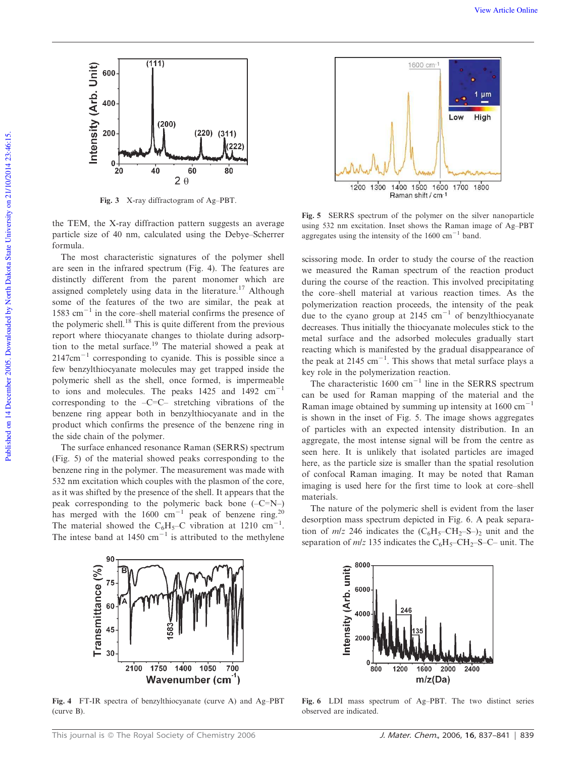

Fig. 3 X-ray diffractogram of Ag–PBT.

the TEM, the X-ray diffraction pattern suggests an average particle size of 40 nm, calculated using the Debye–Scherrer formula.

The most characteristic signatures of the polymer shell are seen in the infrared spectrum (Fig. 4). The features are distinctly different from the parent monomer which are assigned completely using data in the literature.<sup>17</sup> Although some of the features of the two are similar, the peak at 1583  $\text{cm}^{-1}$  in the core–shell material confirms the presence of the polymeric shell.<sup>18</sup> This is quite different from the previous report where thiocyanate changes to thiolate during adsorption to the metal surface.<sup>19</sup> The material showed a peak at  $2147 \text{cm}^{-1}$  corresponding to cyanide. This is possible since a few benzylthiocyanate molecules may get trapped inside the polymeric shell as the shell, once formed, is impermeable to ions and molecules. The peaks  $1425$  and  $1492$  cm<sup>-1</sup> corresponding to the  $-C=C$ – stretching vibrations of the benzene ring appear both in benzylthiocyanate and in the product which confirms the presence of the benzene ring in the side chain of the polymer.

The surface enhanced resonance Raman (SERRS) spectrum (Fig. 5) of the material showed peaks corresponding to the benzene ring in the polymer. The measurement was made with 532 nm excitation which couples with the plasmon of the core, as it was shifted by the presence of the shell. It appears that the peak corresponding to the polymeric back bone  $(-C=N-)$ has merged with the  $1600 \text{ cm}^{-1}$  peak of benzene ring.<sup>20</sup> The material showed the C<sub>6</sub>H<sub>5</sub>-C vibration at 1210 cm<sup>-1</sup>. The intese band at 1450  $\text{cm}^{-1}$  is attributed to the methylene



Fig. 5 SERRS spectrum of the polymer on the silver nanoparticle using 532 nm excitation. Inset shows the Raman image of Ag–PBT aggregates using the intensity of the  $1600 \text{ cm}^{-1}$  band.

scissoring mode. In order to study the course of the reaction we measured the Raman spectrum of the reaction product during the course of the reaction. This involved precipitating the core–shell material at various reaction times. As the polymerization reaction proceeds, the intensity of the peak due to the cyano group at 2145  $\text{cm}^{-1}$  of benzylthiocyanate decreases. Thus initially the thiocyanate molecules stick to the metal surface and the adsorbed molecules gradually start reacting which is manifested by the gradual disappearance of the peak at 2145 cm<sup>-1</sup>. This shows that metal surface plays a key role in the polymerization reaction.

The characteristic  $1600 \text{ cm}^{-1}$  line in the SERRS spectrum can be used for Raman mapping of the material and the Raman image obtained by summing up intensity at  $1600 \text{ cm}^{-1}$ is shown in the inset of Fig. 5. The image shows aggregates of particles with an expected intensity distribution. In an aggregate, the most intense signal will be from the centre as seen here. It is unlikely that isolated particles are imaged here, as the particle size is smaller than the spatial resolution of confocal Raman imaging. It may be noted that Raman imaging is used here for the first time to look at core–shell materials.

The nature of the polymeric shell is evident from the laser desorption mass spectrum depicted in Fig. 6. A peak separation of  $m/z$  246 indicates the  $(C_6H_5-CH_2-S-)_2$  unit and the separation of  $m/z$  135 indicates the  $C_6H_5$ –CH<sub>2</sub>–S–C– unit. The



Fig. 4 FT-IR spectra of benzylthiocyanate (curve A) and Ag–PBT (curve B).



Fig. 6 LDI mass spectrum of Ag–PBT. The two distinct series observed are indicated.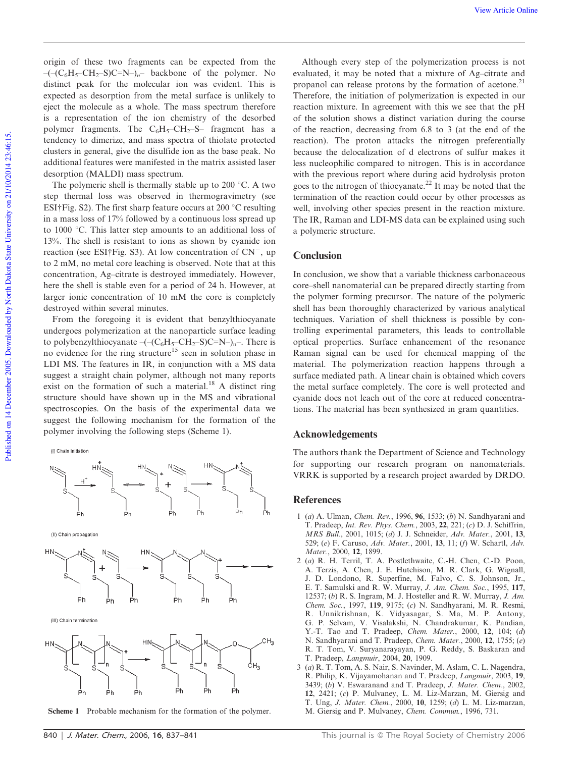origin of these two fragments can be expected from the  $-(-(C_6H_5-CH_2-S)C=N-)_n$ – backbone of the polymer. No distinct peak for the molecular ion was evident. This is expected as desorption from the metal surface is unlikely to eject the molecule as a whole. The mass spectrum therefore is a representation of the ion chemistry of the desorbed polymer fragments. The  $C_6H_5-CH_2-S-$  fragment has a tendency to dimerize, and mass spectra of thiolate protected clusters in general, give the disulfide ion as the base peak. No additional features were manifested in the matrix assisted laser desorption (MALDI) mass spectrum.

The polymeric shell is thermally stable up to 200  $\degree$ C. A two step thermal loss was observed in thermogravimetry (see ESI $\dagger$ Fig. S2). The first sharp feature occurs at 200 °C resulting in a mass loss of 17% followed by a continuous loss spread up to 1000  $\degree$ C. This latter step amounts to an additional loss of 13%. The shell is resistant to ions as shown by cyanide ion reaction (see ESI†Fig. S3). At low concentration of  $CN^{-}$ , up to 2 mM, no metal core leaching is observed. Note that at this concentration, Ag–citrate is destroyed immediately. However, here the shell is stable even for a period of 24 h. However, at larger ionic concentration of 10 mM the core is completely destroyed within several minutes.

From the foregoing it is evident that benzylthiocyanate undergoes polymerization at the nanoparticle surface leading to polybenzylthiocyanate  $-(- (C_6H_5-CH_2-S)C=N_-)_{n}$ . There is no evidence for the ring structure<sup>15</sup> seen in solution phase in LDI MS. The features in IR, in conjunction with a MS data suggest a straight chain polymer, although not many reports exist on the formation of such a material.<sup>18</sup> A distinct ring structure should have shown up in the MS and vibrational spectroscopies. On the basis of the experimental data we suggest the following mechanism for the formation of the polymer involving the following steps (Scheme 1).

(I) Chain initiation



(II) Chain propagation



(III) Chain termination



Scheme 1 Probable mechanism for the formation of the polymer. M. Giersig and P. Mulvaney, *Chem. Commun.*, 1996, 731.

Although every step of the polymerization process is not evaluated, it may be noted that a mixture of Ag–citrate and propanol can release protons by the formation of acetone.<sup>21</sup> Therefore, the initiation of polymerization is expected in our reaction mixture. In agreement with this we see that the pH of the solution shows a distinct variation during the course of the reaction, decreasing from 6.8 to 3 (at the end of the reaction). The proton attacks the nitrogen preferentially because the delocalization of d electrons of sulfur makes it less nucleophilic compared to nitrogen. This is in accordance with the previous report where during acid hydrolysis proton goes to the nitrogen of thiocyanate.<sup>22</sup> It may be noted that the termination of the reaction could occur by other processes as well, involving other species present in the reaction mixture. The IR, Raman and LDI-MS data can be explained using such a polymeric structure.

### Conclusion

In conclusion, we show that a variable thickness carbonaceous core–shell nanomaterial can be prepared directly starting from the polymer forming precursor. The nature of the polymeric shell has been thoroughly characterized by various analytical techniques. Variation of shell thickness is possible by controlling experimental parameters, this leads to controllable optical properties. Surface enhancement of the resonance Raman signal can be used for chemical mapping of the material. The polymerization reaction happens through a surface mediated path. A linear chain is obtained which covers the metal surface completely. The core is well protected and cyanide does not leach out of the core at reduced concentrations. The material has been synthesized in gram quantities.

#### Acknowledgements

The authors thank the Department of Science and Technology for supporting our research program on nanomaterials. VRRK is supported by a research project awarded by DRDO.

#### References

- 1 (*a*) A. Ulman, *Chem. Rev.*, 1996, 96, 1533; (*b*) N. Sandhyarani and T. Pradeep, *Int. Rev. Phys. Chem.*, 2003, 22, 221; (*c*) D. J. Schiffrin, *MRS Bull.*, 2001, 1015; (*d*) J. J. Schneider, *Adv. Mater.*, 2001, 13, 529; (*e*) F. Caruso, *Adv. Mater.*, 2001, 13, 11; (*f*) W. Schartl, *Adv. Mater.*, 2000, 12, 1899.
- 2 (*a*) R. H. Terril, T. A. Postlethwaite, C.-H. Chen, C.-D. Poon, A. Terzis, A. Chen, J. E. Hutchison, M. R. Clark, G. Wignall, J. D. Londono, R. Superfine, M. Falvo, C. S. Johnson, Jr., E. T. Samulski and R. W. Murray, *J. Am. Chem. Soc.*, 1995, 117, 12537; (*b*) R. S. Ingram, M. J. Hosteller and R. W. Murray, *J. Am. Chem. Soc.*, 1997, 119, 9175; (*c*) N. Sandhyarani, M. R. Resmi, R. Unnikrishnan, K. Vidyasagar, S. Ma, M. P. Antony, G. P. Selvam, V. Visalakshi, N. Chandrakumar, K. Pandian, Y.-T. Tao and T. Pradeep, *Chem. Mater.*, 2000, 12, 104; (*d*) N. Sandhyarani and T. Pradeep, *Chem. Mater.*, 2000, 12, 1755; (*e*) R. T. Tom, V. Suryanarayayan, P. G. Reddy, S. Baskaran and T. Pradeep, *Langmuir*, 2004, 20, 1909.
- 3 (*a*) R. T. Tom, A. S. Nair, S. Navinder, M. Aslam, C. L. Nagendra, R. Philip, K. Vijayamohanan and T. Pradeep, *Langmuir*, 2003, 19, 3439; (*b*) V. Eswaranand and T. Pradeep, *J. Mater. Chem.*, 2002, 12, 2421; (*c*) P. Mulvaney, L. M. Liz-Marzan, M. Giersig and T. Ung, *J. Mater. Chem.*, 2000, 10, 1259; (*d*) L. M. Liz-marzan,